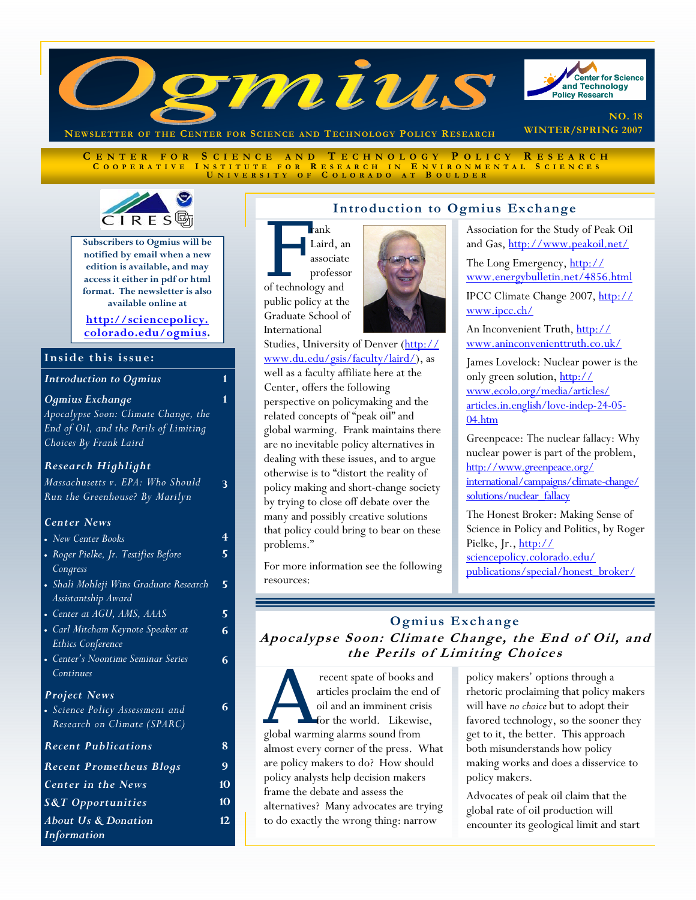

**C ENTER FOR S CIENCE AND T ECHNOLOGY P OLICY R ESEARCH C OOPERATIVE I NSTITUTE FOR R ESEARCH I N E NVIRONMENTAL S CIENCES U NIVERSITY O F C OLORADO A T B OULDER**



**Subscribers to Ogmius will be notified by email when a new edition is available, and may access it either in pdf or html format. The newsletter is also available online at** 

**http://sciencepolicy. [colorado.edu/ogmius.](http://sciencepolicy.colorado.edu/ogmius)** 

**1** 

**3** 

#### **Inside this issue:**

| <b>Introduction to Ogmius</b> |  |
|-------------------------------|--|
|-------------------------------|--|

#### *Ogmius Exchange*

*Apocalypse Soon: Climate Change, the End of Oil, and the Perils of Limiting Choices By Frank Laird*

#### *Research Highlight*

*Massachusetts v. EPA: Who Should Run the Greenhouse? By Marilyn* 

#### *Center News*

| • New Center Books                     |   |
|----------------------------------------|---|
| • Roger Pielke, Jr. Testifies Before   | 5 |
| Congress                               |   |
| • Shali Mohleji Wins Graduate Research | 5 |
| Assistantship Award                    |   |
| • Center at AGU, AMS, AAAS             | 5 |
| • Carl Mitcham Keynote Speaker at      |   |
| <b>Ethics Conference</b>               |   |
| • Center's Noontime Seminar Series     | 6 |
| Continues                              |   |
| <b>Project News</b>                    |   |
| • Science Policy Assessment and        | 6 |
| Research on Climate (SPARC)            |   |
| <b>Recent Publications</b>             | 8 |
| <b>Recent Prometheus Blogs</b>         | 9 |
| <b>Center in the News</b>              |   |
| <b>S&amp;T</b> Opportunities           |   |
| <b>About Us &amp; Donation</b>         |   |
| <i>Information</i>                     |   |

#### **Introduction to Ogmius Exchange**

**F** rank<br>
Laird, and<br>
associate<br>
professo<br>
of technology and Laird, an associate professor public policy at the

Graduate School of International



[Studies, University of Denver \(http://](http://www.du.edu/gsis/faculty/laird/) www.du.edu/gsis/faculty/laird/), as well as a faculty affiliate here at the Center, offers the following perspective on policymaking and the related concepts of "peak oil" and global warming. Frank maintains there are no inevitable policy alternatives in dealing with these issues, and to argue otherwise is to "distort the reality of policy making and short-change society by trying to close off debate over the many and possibly creative solutions that policy could bring to bear on these problems."

For more information see the following resources:

# Association for the Study of Peak Oil

and Gas[, http://www.peakoil.net/](http://www.peakoil.net/)

The Long Emergency, http:// [www.energybulletin.net/4856.html](http://www.energybulletin.net/4856.html)

[IPCC Climate Change 2007, http://](http://www.ipcc.ch/) www.ipcc.ch/

An Inconvenient Truth, http:// [www.aninconvenienttruth.co.uk/](http://www.aninconvenienttruth.co.uk/)

James Lovelock: Nuclear power is the only green solution, http:// www.ecolo.org/media/articles/ [articles.in.english/love-indep-24-05-](http://www.ecolo.org/media/articles/articles.in.english/love-indep-24-05-04.htm) 04.htm

Greenpeace: The nuclear fallacy: Why nuclear power is part of the problem, http://www.greenpeace.org/ [international/campaigns/climate-change/](http://www.greenpeace.org/international/campaigns/climate-change/solutions/nuclear_fallacy) solutions/nuclear\_fallacy

The Honest Broker: Making Sense of Science in Policy and Politics, by Roger Pielke, Jr., http:// sciencepolicy.colorado.edu/ [publications/special/honest\\_broker/](http://sciencepolicy.colorado.edu/publications/special/honest_broker/)

# **Ogmius Exchange Apocalypse Soon: Climate Change, the End of Oil, and the Perils of Limiting Choices**

recent spate of books and<br>articles proclaim the end of<br>oil and an imminent crisis<br>for the world. Likewise,<br>global warming alarms sound from articles proclaim the end of oil and an imminent crisis for the world. Likewise, global warming alarms sound from almost every corner of the press. What are policy makers to do? How should policy analysts help decision makers frame the debate and assess the alternatives? Many advocates are trying to do exactly the wrong thing: narrow

policy makers' options through a rhetoric proclaiming that policy makers will have *no choice* but to adopt their favored technology, so the sooner they get to it, the better. This approach both misunderstands how policy making works and does a disservice to policy makers.

Advocates of peak oil claim that the global rate of oil production will encounter its geological limit and start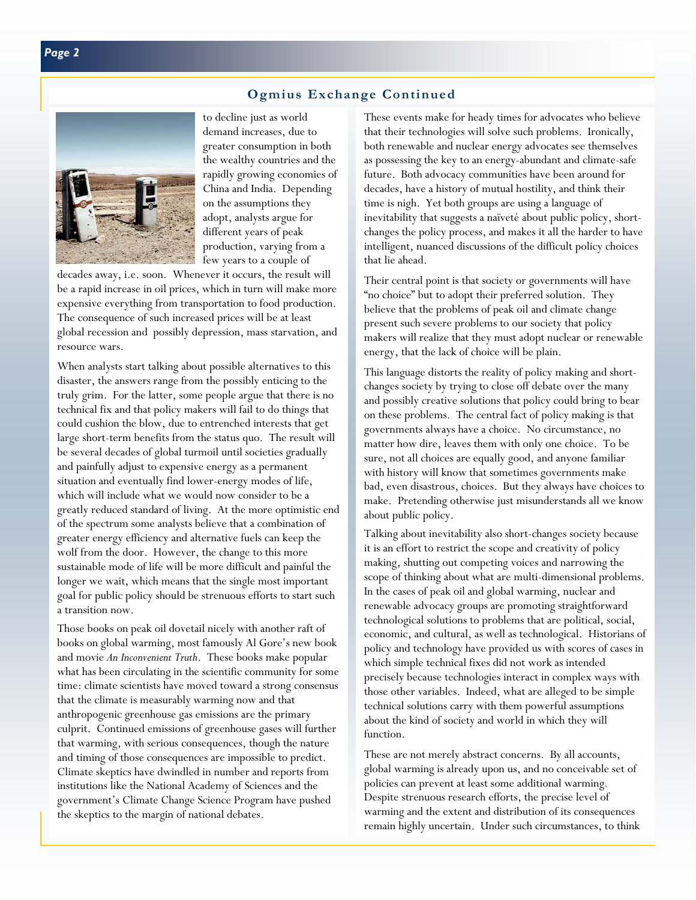## **Ogmius Exchange Continued**



to decline just as world demand increases, due to greater consumption in both the wealthy countries and the rapidly growing economies of China and India. Depending on the assumptions they adopt, analysts argue for different years of peak production, varying from a few years to a couple of

decades away, i.e. soon. Whenever it occurs, the result will be a rapid increase in oil prices, which in turn will make more expensive everything from transportation to food production. The consequence of such increased prices will be at least global recession and possibly depression, mass starvation, and resource wars.

When analysts start talking about possible alternatives to this disaster, the answers range from the possibly enticing to the truly grim. For the latter, some people argue that there is no technical fix and that policy makers will fail to do things that could cushion the blow, due to entrenched interests that get large short-term benefits from the status quo. The result will be several decades of global turmoil until societies gradually and painfully adjust to expensive energy as a permanent situation and eventually find lower-energy modes of life, which will include what we would now consider to be a greatly reduced standard of living. At the more optimistic end of the spectrum some analysts believe that a combination of greater energy efficiency and alternative fuels can keep the wolf from the door. However, the change to this more sustainable mode of life will be more difficult and painful the longer we wait, which means that the single most important goal for public policy should be strenuous efforts to start such a transition now.

Those books on peak oil dovetail nicely with another raft of books on global warming, most famously Al Gore's new book and movie *An Inconvenient Truth*. These books make popular what has been circulating in the scientific community for some time: climate scientists have moved toward a strong consensus that the climate is measurably warming now and that anthropogenic greenhouse gas emissions are the primary culprit. Continued emissions of greenhouse gases will further that warming, with serious consequences, though the nature and timing of those consequences are impossible to predict. Climate skeptics have dwindled in number and reports from institutions like the National Academy of Sciences and the government's Climate Change Science Program have pushed the skeptics to the margin of national debates.

These events make for heady times for advocates who believe that their technologies will solve such problems. Ironically, both renewable and nuclear energy advocates see themselves as possessing the key to an energy-abundant and climate-safe future. Both advocacy communities have been around for decades, have a history of mutual hostility, and think their time is nigh. Yet both groups are using a language of inevitability that suggests a naïveté about public policy, shortchanges the policy process, and makes it all the harder to have intelligent, nuanced discussions of the difficult policy choices that lie ahead.

Their central point is that society or governments will have "no choice" but to adopt their preferred solution. They believe that the problems of peak oil and climate change present such severe problems to our society that policy makers will realize that they must adopt nuclear or renewable energy, that the lack of choice will be plain.

This language distorts the reality of policy making and shortchanges society by trying to close off debate over the many and possibly creative solutions that policy could bring to bear on these problems. The central fact of policy making is that governments always have a choice. No circumstance, no matter how dire, leaves them with only one choice. To be sure, not all choices are equally good, and anyone familiar with history will know that sometimes governments make bad, even disastrous, choices. But they always have choices to make. Pretending otherwise just misunderstands all we know about public policy.

Talking about inevitability also short-changes society because it is an effort to restrict the scope and creativity of policy making, shutting out competing voices and narrowing the scope of thinking about what are multi-dimensional problems. In the cases of peak oil and global warming, nuclear and renewable advocacy groups are promoting straightforward technological solutions to problems that are political, social, economic, and cultural, as well as technological. Historians of policy and technology have provided us with scores of cases in which simple technical fixes did not work as intended precisely because technologies interact in complex ways with those other variables. Indeed, what are alleged to be simple technical solutions carry with them powerful assumptions about the kind of society and world in which they will function.

These are not merely abstract concerns. By all accounts, global warming is already upon us, and no conceivable set of policies can prevent at least some additional warming. Despite strenuous research efforts, the precise level of warming and the extent and distribution of its consequences remain highly uncertain. Under such circumstances, to think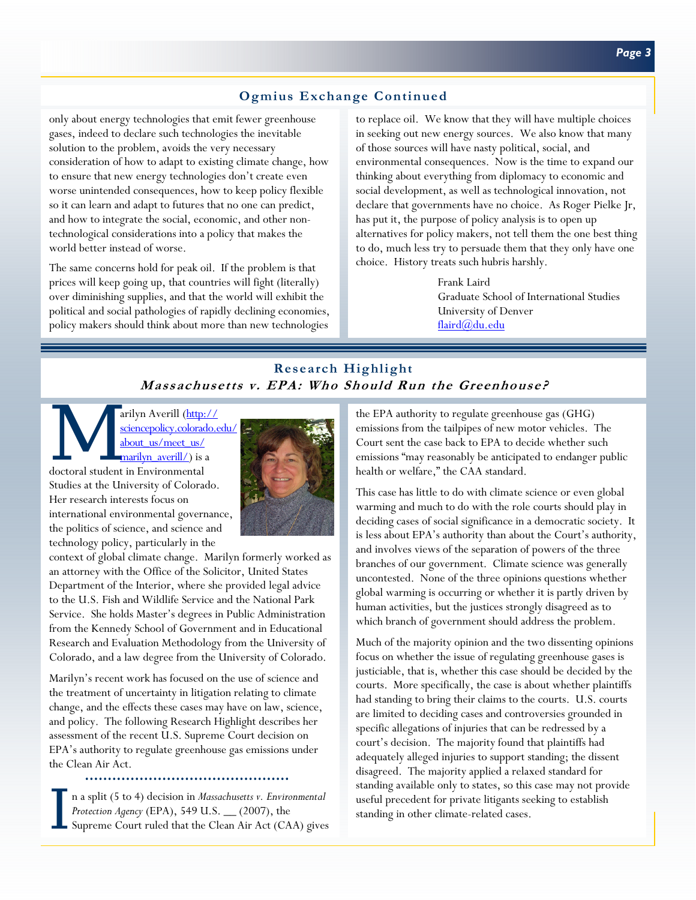## **Ogmius Exchange Continued**

only about energy technologies that emit fewer greenhouse gases, indeed to declare such technologies the inevitable solution to the problem, avoids the very necessary consideration of how to adapt to existing climate change, how to ensure that new energy technologies don't create even worse unintended consequences, how to keep policy flexible so it can learn and adapt to futures that no one can predict, and how to integrate the social, economic, and other nontechnological considerations into a policy that makes the world better instead of worse.

The same concerns hold for peak oil. If the problem is that prices will keep going up, that countries will fight (literally) over diminishing supplies, and that the world will exhibit the political and social pathologies of rapidly declining economies, policy makers should think about more than new technologies to replace oil. We know that they will have multiple choices in seeking out new energy sources. We also know that many of those sources will have nasty political, social, and environmental consequences. Now is the time to expand our thinking about everything from diplomacy to economic and social development, as well as technological innovation, not declare that governments have no choice. As Roger Pielke Jr, has put it, the purpose of policy analysis is to open up alternatives for policy makers, not tell them the one best thing to do, much less try to persuade them that they only have one choice. History treats such hubris harshly.

> Frank Laird Graduate School of International Studies University of Denver [flaird@du.edu](mailto:flaird@du.edu)

## **Research Highlight Massachusetts v. EPA: Who Should Run the Greenhouse?**

arilyn Averill (http://<br>
sciencepolicy.colorado.org/
about\_us/meet\_us/
marilyn\_averill/) is a<br>
doctoral student in Environmental [sciencepolicy.colorado.edu/](http://sciencepolicy.colorado.edu/about_us/meet_us/marilyn_averill/) about\_us/meet\_us/ marilyn\_averill/) is a Studies at the University of Colorado. Her research interests focus on international environmental governance, the politics of science, and science and technology policy, particularly in the



context of global climate change. Marilyn formerly worked as an attorney with the Office of the Solicitor, United States Department of the Interior, where she provided legal advice to the U.S. Fish and Wildlife Service and the National Park Service. She holds Master's degrees in Public Administration from the Kennedy School of Government and in Educational Research and Evaluation Methodology from the University of Colorado, and a law degree from the University of Colorado.

Marilyn's recent work has focused on the use of science and the treatment of uncertainty in litigation relating to climate change, and the effects these cases may have on law, science, and policy. The following Research Highlight describes her assessment of the recent U.S. Supreme Court decision on EPA's authority to regulate greenhouse gas emissions under the Clean Air Act.

I n a split (5 to 4) decision in *Massachusetts v. Environmental*<br> *Protection Agency* (EPA), 549 U.S. <sub>—</sub> (2007), the<br>
Supreme Court ruled that the Clean Air Act (CAA) gives *Protection Agency* (EPA), 549 U.S. \_\_ (2007), the

the EPA authority to regulate greenhouse gas (GHG) emissions from the tailpipes of new motor vehicles. The Court sent the case back to EPA to decide whether such emissions "may reasonably be anticipated to endanger public health or welfare," the CAA standard.

This case has little to do with climate science or even global warming and much to do with the role courts should play in deciding cases of social significance in a democratic society. It is less about EPA's authority than about the Court's authority, and involves views of the separation of powers of the three branches of our government. Climate science was generally uncontested. None of the three opinions questions whether global warming is occurring or whether it is partly driven by human activities, but the justices strongly disagreed as to which branch of government should address the problem.

Much of the majority opinion and the two dissenting opinions focus on whether the issue of regulating greenhouse gases is justiciable, that is, whether this case should be decided by the courts. More specifically, the case is about whether plaintiffs had standing to bring their claims to the courts. U.S. courts are limited to deciding cases and controversies grounded in specific allegations of injuries that can be redressed by a court's decision. The majority found that plaintiffs had adequately alleged injuries to support standing; the dissent disagreed. The majority applied a relaxed standard for standing available only to states, so this case may not provide useful precedent for private litigants seeking to establish standing in other climate-related cases.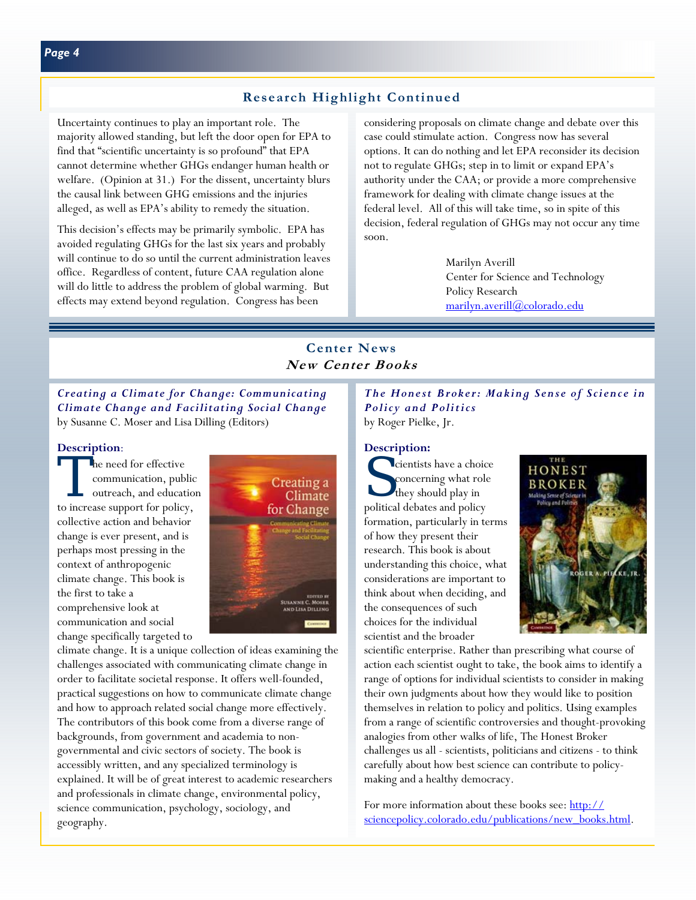### **Research Highlight Continued**

Uncertainty continues to play an important role. The majority allowed standing, but left the door open for EPA to find that "scientific uncertainty is so profound" that EPA cannot determine whether GHGs endanger human health or welfare. (Opinion at 31.) For the dissent, uncertainty blurs the causal link between GHG emissions and the injuries alleged, as well as EPA's ability to remedy the situation.

This decision's effects may be primarily symbolic. EPA has avoided regulating GHGs for the last six years and probably will continue to do so until the current administration leaves office. Regardless of content, future CAA regulation alone will do little to address the problem of global warming. But effects may extend beyond regulation. Congress has been

considering proposals on climate change and debate over this case could stimulate action. Congress now has several options. It can do nothing and let EPA reconsider its decision not to regulate GHGs; step in to limit or expand EPA's authority under the CAA; or provide a more comprehensive framework for dealing with climate change issues at the federal level. All of this will take time, so in spite of this decision, federal regulation of GHGs may not occur any time soon.

> Marilyn Averill Center for Science and Technology Policy Research [marilyn.averill@colorado.edu](mailto:marilyn.averill@colorado.edu)

## **Center News New Center Books**

*Creating a Climate for Change: Communicating Climate Change and Facilitating Social Change* by Susanne C. Moser and Lisa Dilling (Editors)

#### **Description**:

The need for effective<br>
communication, public<br>
outreach, and education communication, public to increase support for policy, collective action and behavior change is ever present, and is perhaps most pressing in the context of anthropogenic climate change. This book is the first to take a comprehensive look at communication and social change specifically targeted to



climate change. It is a unique collection of ideas examining the challenges associated with communicating climate change in order to facilitate societal response. It offers well-founded, practical suggestions on how to communicate climate change and how to approach related social change more effectively. The contributors of this book come from a diverse range of backgrounds, from government and academia to nongovernmental and civic sectors of society. The book is accessibly written, and any specialized terminology is explained. It will be of great interest to academic researchers and professionals in climate change, environmental policy, science communication, psychology, sociology, and geography.

*The Honest Broker: Making Sense of Science in Policy and Politics* by Roger Pielke, Jr.

#### **Description:**

cientists have a choice concerning what role they should play in political debates and policy formation, particularly in terms of how they present their research. This book is about understanding this choice, what considerations are important to think about when deciding, and the consequences of such choices for the individual scientist and the broader



scientific enterprise. Rather than prescribing what course of action each scientist ought to take, the book aims to identify a range of options for individual scientists to consider in making their own judgments about how they would like to position themselves in relation to policy and politics. Using examples from a range of scientific controversies and thought-provoking analogies from other walks of life, The Honest Broker challenges us all - scientists, politicians and citizens - to think carefully about how best science can contribute to policymaking and a healthy democracy.

For more information about these books see: http:// sciencepolicy.colorado.edu/publications/new\_books.html.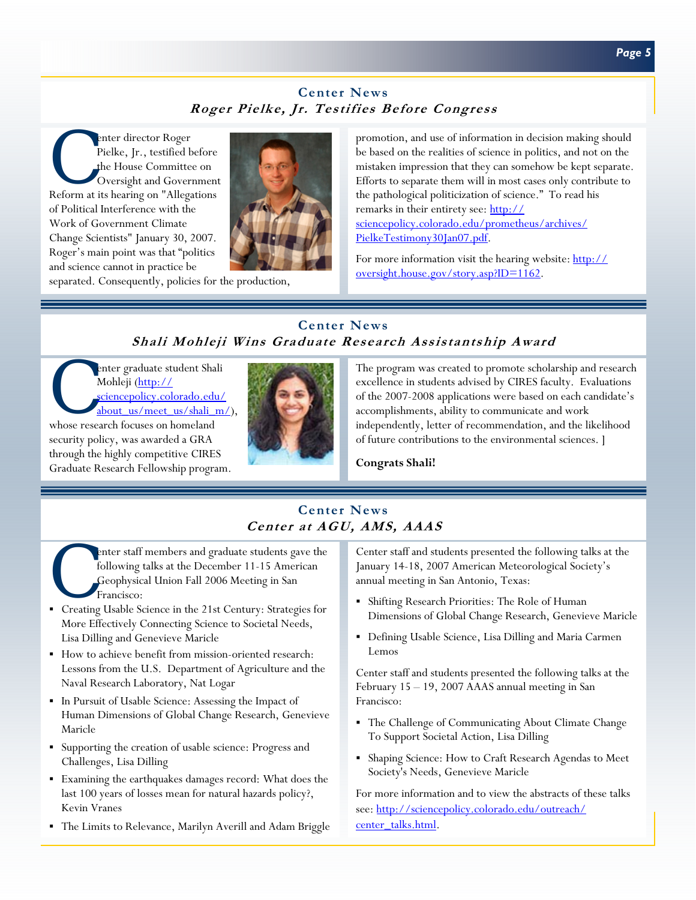# **Center News Roger Pielke, Jr. Testifies Before Congress**

enter director Roger<br>
Pielke, Jr., testified before<br>
the House Committee on<br>
Oversight and Government<br>
Reform at its hearing on "Allegations Pielke, Jr., testified before the House Committee on Oversight and Government of Political Interference with the Work of Government Climate Change Scientists" January 30, 2007. Roger's main point was that "politics and science cannot in practice be



separated. Consequently, policies for the production,

promotion, and use of information in decision making should be based on the realities of science in politics, and not on the mistaken impression that they can somehow be kept separate. Efforts to separate them will in most cases only contribute to the pathological politicization of science." To read his remarks in their entirety see: http:// [sciencepolicy.colorado.edu/prometheus/archives/](http://sciencepolicy.colorado.edu/prometheus/archives/PielkeTestimony30Jan07.pdf) PielkeTestimony30Jan07.pdf.

[For more information visit the hearing website: http://](http://oversight.house.gov/story.asp?ID=1162) oversight.house.gov/story.asp?ID=1162.

# **Center News Shali Mohleji Wins Graduate Research Assistantship Award**

enter graduate student Shali<br>Mohleji (http://<br>sciencepolicy.colorado.edu/<br>about\_us/meet\_us/shali\_m Mohleji (http:// sciencepolicy.colorado.edu/ about us/meet us/shali m/),

whose research focuses on homeland security policy, was awarded a GRA through the highly competitive CIRES Graduate Research Fellowship program.



The program was created to promote scholarship and research excellence in students advised by CIRES faculty. Evaluations of the 2007-2008 applications were based on each candidate's accomplishments, ability to communicate and work independently, letter of recommendation, and the likelihood of future contributions to the environmental sciences. ]

**Congrats Shali!** 

# **Center News Center at AGU, AMS, AAAS**

- enter staff members and graduate students gave the following talks at the December 11-15 American Geophysical Union Fall 2006 Meeting in San Francisco:
- Creating Usable Science in the 21st Century: Strategies for More Effectively Connecting Science to Societal Needs, Lisa Dilling and Genevieve Maricle
- How to achieve benefit from mission-oriented research: Lessons from the U.S. Department of Agriculture and the Naval Research Laboratory, Nat Logar
- In Pursuit of Usable Science: Assessing the Impact of Human Dimensions of Global Change Research, Genevieve Maricle
- Supporting the creation of usable science: Progress and Challenges, Lisa Dilling
- Examining the earthquakes damages record: What does the last 100 years of losses mean for natural hazards policy?, Kevin Vranes
- The Limits to Relevance, Marilyn Averill and Adam Briggle

Center staff and students presented the following talks at the January 14-18, 2007 American Meteorological Society's annual meeting in San Antonio, Texas:

- Shifting Research Priorities: The Role of Human Dimensions of Global Change Research, Genevieve Maricle
- Defining Usable Science, Lisa Dilling and Maria Carmen Lemos

Center staff and students presented the following talks at the February 15 – 19, 2007 AAAS annual meeting in San Francisco:

- The Challenge of Communicating About Climate Change To Support Societal Action, Lisa Dilling
- Shaping Science: How to Craft Research Agendas to Meet Society's Needs, Genevieve Maricle

For more information and to view the abstracts of these talks [see: http://sciencepolicy.colorado.edu/outreach/](http://sciencepolicy.colorado.edu/outreach/center_talks.html) center\_talks.html.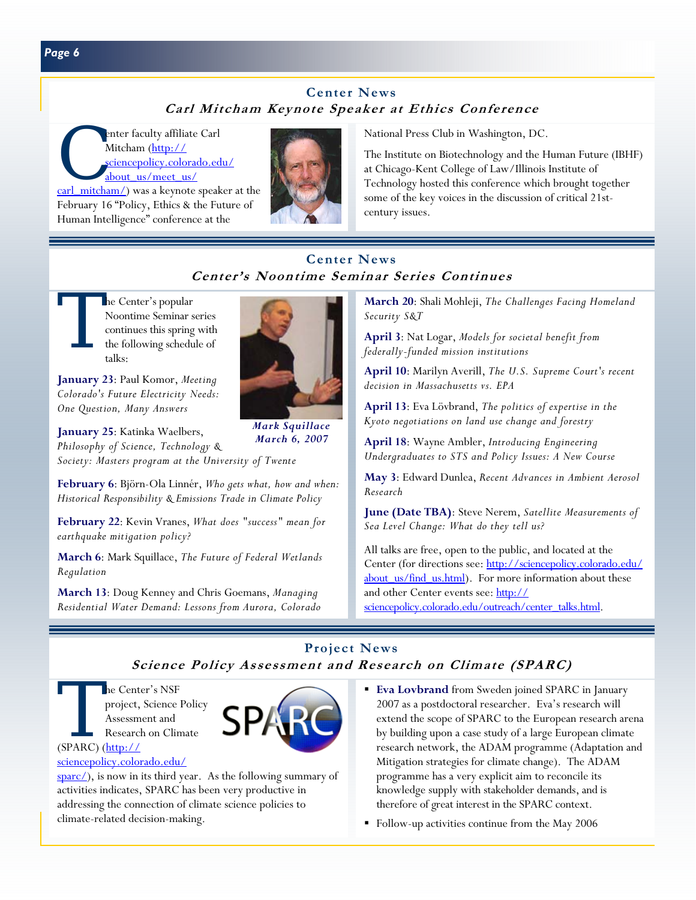# **Center News Carl Mitcham Keynote Speaker at Ethics Conference**

enter faculty affiliate Carl<br>Mitcham (http://<br>sciencepolicy.colorado.ed<br>about us/meet us/ Mitcham (http:// sciencepolicy.colorado.edu/ about\_us/meet\_us/

carl\_mitcham/) was a keynote speaker at the February 16 "Policy, Ethics & the Future of Human Intelligence" conference at the



National Press Club in Washington, DC.

The Institute on Biotechnology and the Human Future (IBHF) at Chicago-Kent College of Law/Illinois Institute of Technology hosted this conference which brought together some of the key voices in the discussion of critical 21stcentury issues.

# **Center News Center's Noontime Seminar Series Continues**

The Center's popular<br>Noontime Seminar s<br>continues this spring<br>the following schedu<br>talks: Noontime Seminar series continues this spring with the following schedule of talks:

**January 23**: Paul Komor, *Meeting Colorado's Future Electricity Needs: One Question, Many Answers*

**January 25**: Katinka Waelbers, *Philosophy of Science, Technology & Society: Masters program at the University of Twente*

**February 6**: Björn-Ola Linnér, *Who gets what, how and when: Historical Responsibility & Emissions Trade in Climate Policy* 

**February 22**: Kevin Vranes, *What does "success" mean for earthquake mitigation policy?* 

**March 6**: Mark Squillace, *The Future of Federal Wetlands Regulation* 

**March 13**: Doug Kenney and Chris Goemans, *Managing Residential Water Demand: Lessons from Aurora, Colorado*



*Mark Squillace March 6, 2007* 

**March 20**: Shali Mohleji, *The Challenges Facing Homeland Security S&T* 

**April 3**: Nat Logar, *Models for societal benefit from federally-funded mission institutions*

**April 10**: Marilyn Averill, *The U.S. Supreme Court's recent decision in Massachusetts vs. EPA* 

**April 13**: Eva Lövbrand, *The politics of expertise in the Kyoto negotiations on land use change and forestry* 

**April 18**: Wayne Ambler, *Introducing Engineering Undergraduates to STS and Policy Issues: A New Course* 

**May 3**: Edward Dunlea, *Recent Advances in Ambient Aerosol Research* 

**June (Date TBA)**: Steve Nerem, *Satellite Measurements of Sea Level Change: What do they tell us?* 

All talks are free, open to the public, and located at the [Center \(for directions see: http://sciencepolicy.colorado.edu/](http://sciencepolicy.colorado.edu/about_us/find_us.html) about us/find us.html). For more information about these and other Center events see: http:// sciencepolicy.colorado.edu/outreach/center\_talks.html.

# **Project News Science Policy Assessment and Research on Climate (SPARC)**

The Center's NSF<br>project, Science I<br>Assessment and<br>Research on Clin<br>(SPARC) (http:// project, Science Policy Assessment and Research on Climate (SPARC)  $(\frac{http://}{http://})$ 



sciencepolicy.colorado.edu/

 $\frac{\text{sparc}}{\text{sparc}}$ , is now in its third year. As the following summary of activities indicates, SPARC has been very productive in addressing the connection of climate science policies to climate-related decision-making.

- **Eva Lovbrand** from Sweden joined SPARC in January 2007 as a postdoctoral researcher. Eva's research will extend the scope of SPARC to the European research arena by building upon a case study of a large European climate research network, the ADAM programme (Adaptation and Mitigation strategies for climate change). The ADAM programme has a very explicit aim to reconcile its knowledge supply with stakeholder demands, and is therefore of great interest in the SPARC context.
- Follow-up activities continue from the May 2006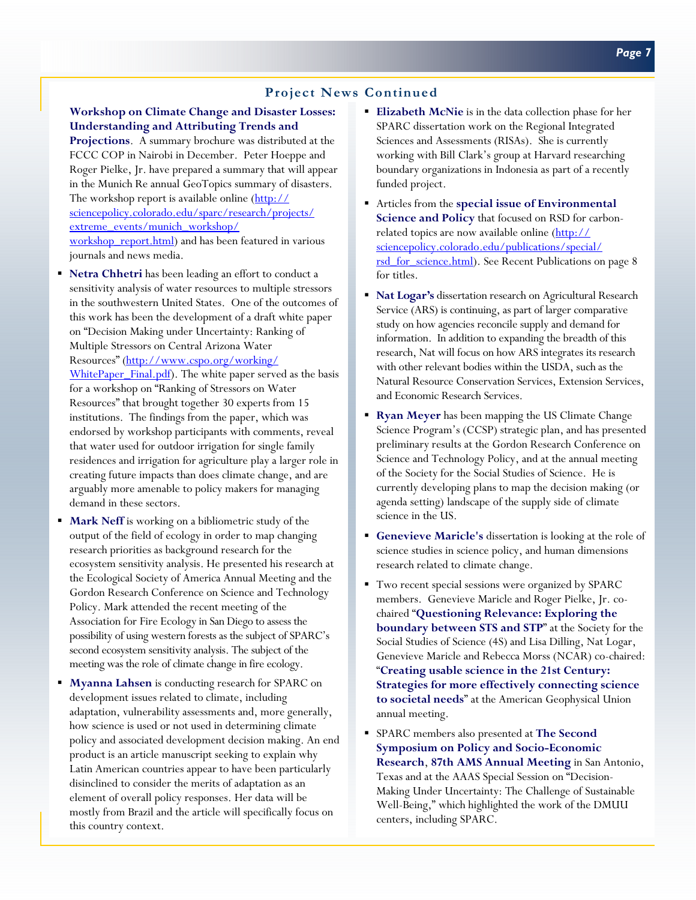## **Project News Continued**

#### **Workshop on Climate Change and Disaster Losses: Understanding and Attributing Trends and**

**Projections**. A summary brochure was distributed at the FCCC COP in Nairobi in December. Peter Hoeppe and Roger Pielke, Jr. have prepared a summary that will appear in the Munich Re annual GeoTopics summary of disasters. The workshop report is available online (http:// sciencepolicy.colorado.edu/sparc/research/projects/ extreme\_events/munich\_workshop/ [workshop\\_report.html\) and has been featured in variou](http://sciencepolicy.colorado.edu/sparc/research/projects/extreme_events/munich_workshop/workshop_report.html)s journals and news media.

- **Netra Chhetri** has been leading an effort to conduct a sensitivity analysis of water resources to multiple stressors in the southwestern United States. One of the outcomes of this work has been the development of a draft white paper on "Decision Making under Uncertainty: Ranking of Multiple Stressors on Central Arizona Water Resources" (http://www.cspo.org/working/ [WhitePaper\\_Final.pdf\). The white paper served](http://www.cspo.org/working/WhitePaper_Final.pdf) as the basis for a workshop on "Ranking of Stressors on Water Resources" that brought together 30 experts from 15 institutions. The findings from the paper, which was endorsed by workshop participants with comments, reveal that water used for outdoor irrigation for single family residences and irrigation for agriculture play a larger role in creating future impacts than does climate change, and are arguably more amenable to policy makers for managing demand in these sectors.
- **Mark Neff** is working on a bibliometric study of the output of the field of ecology in order to map changing research priorities as background research for the ecosystem sensitivity analysis. He presented his research at the Ecological Society of America Annual Meeting and the Gordon Research Conference on Science and Technology Policy. Mark attended the recent meeting of the Association for Fire Ecology in San Diego to assess the possibility of using western forests as the subject of SPARC's second ecosystem sensitivity analysis. The subject of the meeting was the role of climate change in fire ecology.
- **Myanna Lahsen** is conducting research for SPARC on development issues related to climate, including adaptation, vulnerability assessments and, more generally, how science is used or not used in determining climate policy and associated development decision making. An end product is an article manuscript seeking to explain why Latin American countries appear to have been particularly disinclined to consider the merits of adaptation as an element of overall policy responses. Her data will be mostly from Brazil and the article will specifically focus on this country context.
- **Elizabeth McNie** is in the data collection phase for her SPARC dissertation work on the Regional Integrated Sciences and Assessments (RISAs). She is currently working with Bill Clark's group at Harvard researching boundary organizations in Indonesia as part of a recently funded project.
- Articles from the **special issue of Environmental Science and Policy** that focused on RSD for carbonrelated topics are now available online (http:// sciencepolicy.colorado.edu/publications/special/ [rsd\\_for\\_science.html\). See Recent Publications on](http://sciencepolicy.colorado.edu/publications/special/rsd_for_science.html) page 8 for titles.
- **Nat Logar's** dissertation research on Agricultural Research Service (ARS) is continuing, as part of larger comparative study on how agencies reconcile supply and demand for information. In addition to expanding the breadth of this research, Nat will focus on how ARS integrates its research with other relevant bodies within the USDA, such as the Natural Resource Conservation Services, Extension Services, and Economic Research Services.
- **Ryan Meyer** has been mapping the US Climate Change Science Program's (CCSP) strategic plan, and has presented preliminary results at the Gordon Research Conference on Science and Technology Policy, and at the annual meeting of the Society for the Social Studies of Science. He is currently developing plans to map the decision making (or agenda setting) landscape of the supply side of climate science in the US.
- **Genevieve Maricle's** dissertation is looking at the role of science studies in science policy, and human dimensions research related to climate change.
- Two recent special sessions were organized by SPARC members. Genevieve Maricle and Roger Pielke, Jr. cochaired "**Questioning Relevance: Exploring the boundary between STS and STP**" at the Society for the Social Studies of Science (4S) and Lisa Dilling, Nat Logar, Genevieve Maricle and Rebecca Morss (NCAR) co-chaired: "**Creating usable science in the 21st Century: Strategies for more effectively connecting science to societal needs**" at the American Geophysical Union annual meeting.
- SPARC members also presented at **The Second Symposium on Policy and Socio-Economic Research**, **87th AMS Annual Meeting** in San Antonio, Texas and at the AAAS Special Session on "Decision-Making Under Uncertainty: The Challenge of Sustainable Well-Being," which highlighted the work of the DMUU centers, including SPARC.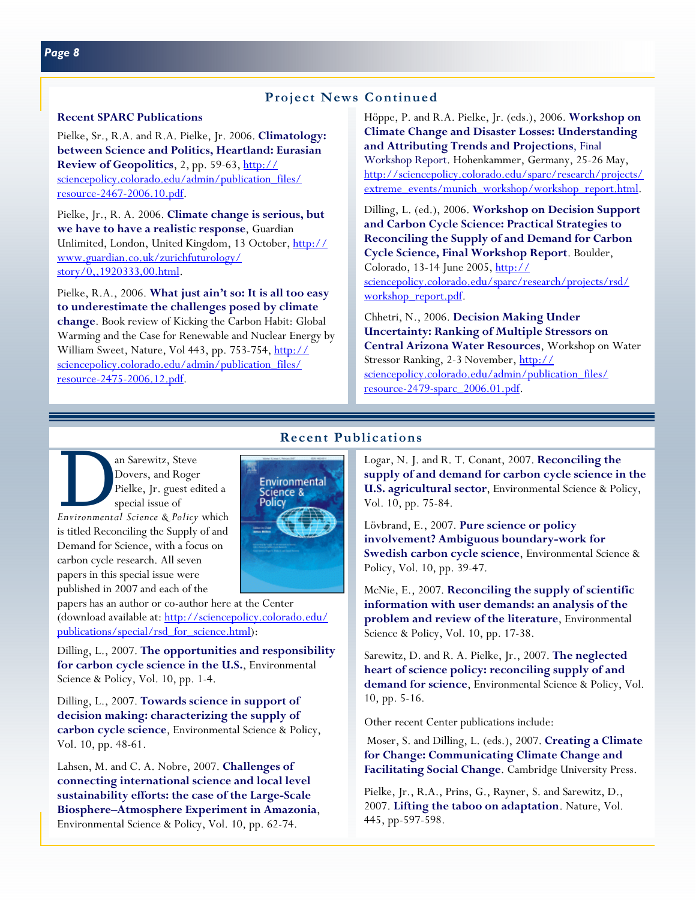#### **Recent SPARC Publications**

Pielke, Sr., R.A. and R.A. Pielke, Jr. 2006. **Climatology: between Science and Politics, Heartland: Eurasian Review of Geopolitics**, 2, pp. 59-63, http:// [sciencepolicy.colorado.edu/admin/publication\\_files/](http://sciencepolicy.colorado.edu/admin/publication_files/resource-2467-2006.10.pdf) resource-2467-2006.10.pdf.

Pielke, Jr., R. A. 2006. **Climate change is serious, but we have to have a realistic response**, Guardian [Unlimited, London, United Kingdom, 13 October, http://](http://www.guardian.co.uk/zurichfuturology/story/0,,1920333,00.html) www.guardian.co.uk/zurichfuturology/ story/0,,1920333,00.html.

Pielke, R.A., 2006. **What just ain't so: It is all too easy to underestimate the challenges posed by climate change**. Book review of Kicking the Carbon Habit: Global Warming and the Case for Renewable and Nuclear Energy by [William Sweet, Nature, Vol 443, pp. 753-754, http://](http://sciencepolicy.colorado.edu/admin/publication_files/resource-2475-2006.12.pdf) sciencepolicy.colorado.edu/admin/publication\_files/ resource-2475-2006.12.pdf.

Höppe, P. and R.A. Pielke, Jr. (eds.), 2006. **Workshop on Climate Change and Disaster Losses: Understanding and Attributing Trends and Projections**, Final Workshop Report. Hohenkammer, Germany, 25-26 May, http://sciencepolicy.colorado.edu/sparc/research/projects/ extreme\_events/munich\_workshop/workshop\_report.html.

Dilling, L. (ed.), 2006. **Workshop on Decision Support and Carbon Cycle Science: Practical Strategies to Reconciling the Supply of and Demand for Carbon Cycle Science, Final Workshop Report**. Boulder, Colorado, 13-14 June 2005, http:// [sciencepolicy.colorado.edu/sparc/research/projects/rsd/](http://sciencepolicy.colorado.edu/sparc/research/projects/rsd/workshop_report.pdf) workshop report.pdf.

Chhetri, N., 2006. **Decision Making Under Uncertainty: Ranking of Multiple Stressors on Central Arizona Water Resources**, Workshop on Water Stressor Ranking, 2-3 November, http:// [sciencepolicy.colorado.edu/admin/publication\\_files/](http://sciencepolicy.colorado.edu/admin/publication_files/resource-2479-sparc_2006.01.pdf) resource-2479-sparc\_2006.01.pdf.

# **Recent Publications**

**EXECUTE:** The Sarewitz, Steve Dovers, and Roger<br>Pielke, Jr. guest edited a special issue of<br>*Environmental Science & Policy* which Dovers, and Roger Pielke, Jr. guest edited a special issue of is titled Reconciling the Supply of and Demand for Science, with a focus on carbon cycle research. All seven papers in this special issue were

published in 2007 and each of the papers has an author or co-author here at the Center [\(download available at: http://sciencepolicy.colorado.edu/](http://sciencepolicy.colorado.edu/publications/special/rsd_for_science.html) publications/special/rsd\_for\_science.html):

Dilling, L., 2007. **The opportunities and responsibility for carbon cycle science in the U.S.**, Environmental Science & Policy, Vol. 10, pp. 1-4.

Dilling, L., 2007. **Towards science in support of decision making: characterizing the supply of carbon cycle science**, Environmental Science & Policy, Vol. 10, pp. 48-61.

Lahsen, M. and C. A. Nobre, 2007. **Challenges of connecting international science and local level sustainability efforts: the case of the Large-Scale Biosphere–Atmosphere Experiment in Amazonia**, Environmental Science & Policy, Vol. 10, pp. 62-74.

Logar, N. J. and R. T. Conant, 2007. **Reconciling the supply of and demand for carbon cycle science in the U.S. agricultural sector**, Environmental Science & Policy, Vol. 10, pp. 75-84.

Lövbrand, E., 2007. **Pure science or policy involvement? Ambiguous boundary-work for Swedish carbon cycle science**, Environmental Science & Policy, Vol. 10, pp. 39-47.

McNie, E., 2007. **Reconciling the supply of scientific information with user demands: an analysis of the problem and review of the literature**, Environmental Science & Policy, Vol. 10, pp. 17-38.

Sarewitz, D. and R. A. Pielke, Jr., 2007. **The neglected heart of science policy: reconciling supply of and demand for science**, Environmental Science & Policy, Vol. 10, pp. 5-16.

Other recent Center publications include:

 Moser, S. and Dilling, L. (eds.), 2007. **Creating a Climate for Change: Communicating Climate Change and Facilitating Social Change**. Cambridge University Press.

Pielke, Jr., R.A., Prins, G., Rayner, S. and Sarewitz, D., 2007. **Lifting the taboo on adaptation**. Nature, Vol. 445, pp-597-598.

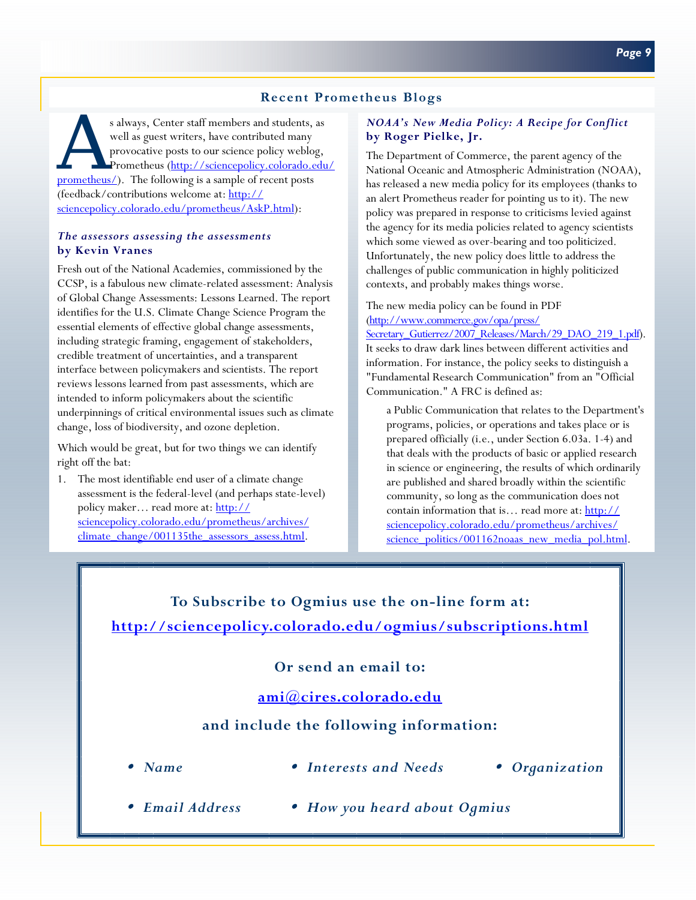## **Recent Prometheus Blogs**

s always, Center staff members and students, as<br>well as guest writers, have contributed many<br>provocative posts to our science policy weblog,<br>Prometheus (http://sciencepolicy.colorado.edu<br>prometheus/). The following is a sa well as guest writers, have contributed many provocative posts to our science policy weblog, Prometheus (http://sciencepolicy.colorado.edu/ prometheus/). The following is a sample of recent posts (feedback/contributions welcome at: http:// [sciencepolicy.colorado.edu/prometheus/AskP.html\):](http://sciencepolicy.colorado.edu/prometheus/AskP.html)

#### *The assessors assessing the assessments*  **by Kevin Vranes**

Fresh out of the National Academies, commissioned by the CCSP, is a fabulous new climate-related assessment: Analysis of Global Change Assessments: Lessons Learned. The report identifies for the U.S. Climate Change Science Program the essential elements of effective global change assessments, including strategic framing, engagement of stakeholders, credible treatment of uncertainties, and a transparent interface between policymakers and scientists. The report reviews lessons learned from past assessments, which are intended to inform policymakers about the scientific underpinnings of critical environmental issues such as climate change, loss of biodiversity, and ozone depletion.

Which would be great, but for two things we can identify right off the bat:

1. The most identifiable end user of a climate change assessment is the federal-level (and perhaps state-level) policy maker... read more at: http:// sciencepolicy.colorado.edu/prometheus/archives/ climate\_change/001135the\_assessors\_assess.html.

#### *NOAA's New Media Policy: A Recipe for Conflict*  **by Roger Pielke, Jr.**

The Department of Commerce, the parent agency of the National Oceanic and Atmospheric Administration (NOAA), has released a new media policy for its employees (thanks to an alert Prometheus reader for pointing us to it). The new policy was prepared in response to criticisms levied against the agency for its media policies related to agency scientists which some viewed as over-bearing and too politicized. Unfortunately, the new policy does little to address the challenges of public communication in highly politicized contexts, and probably makes things worse.

### The new media policy can be found in PDF (http://www.commerce.gov/opa/press/

Secretary\_Gutierrez/2007\_Releases/March/29\_DAO\_219\_1.pdf). It seeks to draw dark lines between different activities and information. For instance, the policy seeks to distinguish a "Fundamental Research Communication" from an "Official Communication." A FRC is defined as:

a Public Communication that relates to the Department's programs, policies, or operations and takes place or is prepared officially (i.e., under Section 6.03a. 1-4) and that deals with the products of basic or applied research in science or engineering, the results of which ordinarily are published and shared broadly within the scientific community, so long as the communication does not contain information that is… read more at: http:// sciencepolicy.colorado.edu/prometheus/archives/ [science\\_politics/001162noaas\\_new\\_media\\_pol.html.](http://sciencepolicy.colorado.edu/prometheus/archives/science_politics/001162noaas_new_media_pol.html)

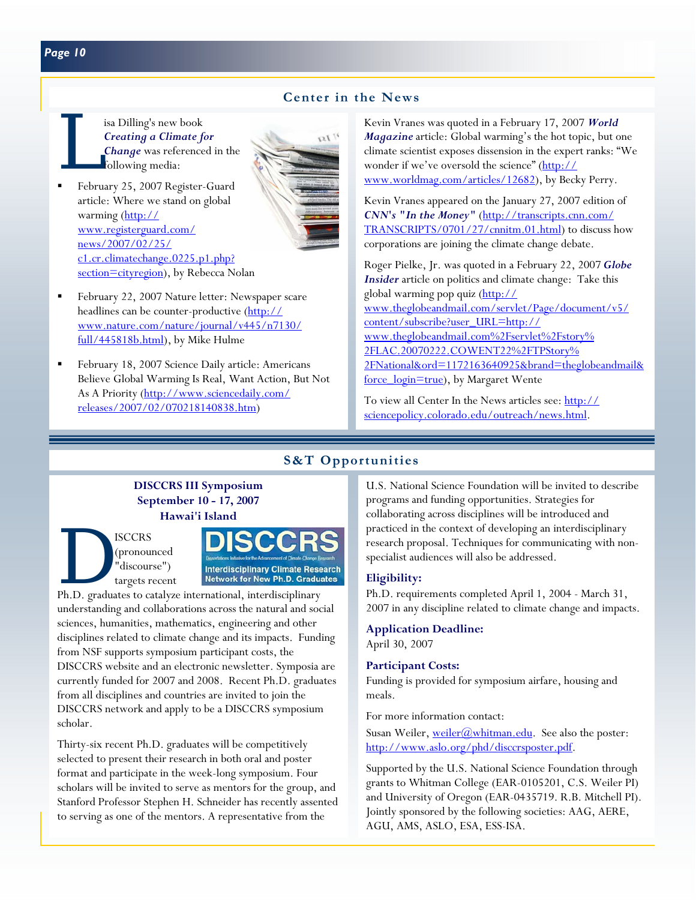## **Center in the News**

- isa Dilling's new book<br>Creating a Climate for<br>Change was reference<br>following media: *Creating a Climate for Change* was referenced in the following media:
- February 25, 2007 Register-Guard article: Where we stand on global warming (http:// www.registerguard.com/ news/2007/02/25/ c1.cr.climatechange.0225.p1.php? [section=cityregion\), by Rebecca No](http://www.registerguard.com/news/2007/02/25/c1.cr.climatechange.0225.p1.php?section=cityregion)lan



- February 22, 2007 Nature letter: Newspaper scare headlines can be counter-productive (http:// [www.nature.com/nature/journal/v445/n7130/](http://www.nature.com/nature/journal/v445/n7130/full/445818b.html) full/445818b.html), by Mike Hulme
- February 18, 2007 Science Daily article: Americans Believe Global Warming Is Real, Want Action, But Not [As A Priority \(http://www.sciencedaily.com/](http://www.sciencedaily.com/releases/2007/02/070218140838.htm) releases/2007/02/070218140838.htm)

Kevin Vranes was quoted in a February 17, 2007 *World Magazine* article: Global warming's the hot topic, but one climate scientist exposes dissension in the expert ranks: "We wonder if we've oversold the science" (http:// [www.worldmag.com/articles/12682\), by Beck](http://www.worldmag.com/articles/12682)y Perry.

Kevin Vranes appeared on the January 27, 2007 edition of *CNN's "In the Money"* (http://transcripts.cnn.com/ [TRANSCRIPTS/0701/27/cnnitm.01.html\) to discuss h](http://transcripts.cnn.com/TRANSCRIPTS/0701/27/cnnitm.01.html)ow corporations are joining the climate change debate.

Roger Pielke, Jr. was quoted in a February 22, 2007 *Globe Insider* article on politics and climate change: Take this global warming pop quiz (http:// www.theglobeandmail.com/servlet/Page/document/v5/ content/subscribe?user\_URL=http:// www.theglobeandmail.com%2Fservlet%2Fstory% 2FLAC.20070222.COWENT22%2FTPStory% [2FNational&ord=1172163640925&brand=theglobeandmail&](http://www.theglobeandmail.com/servlet/Page/document/v5/content/subscribe?user_URL=http://www.theglobeandmail.com%2Fservlet%2Fstory%2FLAC.20070222.COWENT22%2FTPStory%2FNational&ord=1172163640925&brand=theglobeandmail&force_login=true) force\_login=true), by Margaret Wente

[To view all Center In the News articles see: http://](http://sciencepolicy.colorado.edu/outreach/news.html) sciencepolicy.colorado.edu/outreach/news.html.

## **S&T Opportunities**

## **DISCCRS III Symposium September 10 - 17, 2007 Hawai'i Island**

(pronounced "discourse") targets recent



understanding and collaborations across the natural and social sciences, humanities, mathematics, engineering and other disciplines related to climate change and its impacts. Funding from NSF supports symposium participant costs, the DISCCRS website and an electronic newsletter. Symposia are currently funded for 2007 and 2008. Recent Ph.D. graduates from all disciplines and countries are invited to join the DISCCRS network and apply to be a DISCCRS symposium scholar.

Thirty-six recent Ph.D. graduates will be competitively selected to present their research in both oral and poster format and participate in the week-long symposium. Four scholars will be invited to serve as mentors for the group, and Stanford Professor Stephen H. Schneider has recently assented to serving as one of the mentors. A representative from the

U.S. National Science Foundation will be invited to describe programs and funding opportunities. Strategies for collaborating across disciplines will be introduced and practiced in the context of developing an interdisciplinary research proposal. Techniques for communicating with nonspecialist audiences will also be addressed.

#### **Eligibility:**

Ph.D. requirements completed April 1, 2004 - March 31, 2007 in any discipline related to climate change and impacts.

**Application Deadline:**  April 30, 2007

#### **Participant Costs:**

Funding is provided for symposium airfare, housing and meals.

For more information contact:

Susan Weiler[, weiler@whitman.edu.](mailto:weiler@whitman.edu) See also the poster: [http://www.aslo.org/phd/disccrsposter.pdf.](http://www.aslo.org/phd/disccrsposter.pdf) 

Supported by the U.S. National Science Foundation through grants to Whitman College (EAR-0105201, C.S. Weiler PI) and University of Oregon (EAR-0435719. R.B. Mitchell PI). Jointly sponsored by the following societies: AAG, AERE, AGU, AMS, ASLO, ESA, ESS-ISA.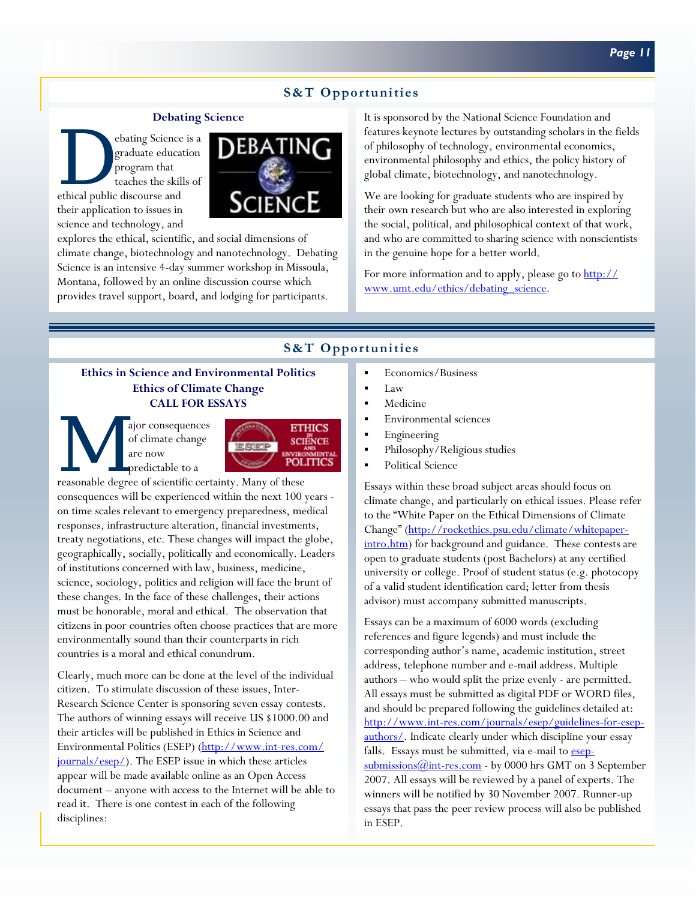# **S&T Opportunities**

#### **Debating Science**

ebating Science is a graduate education program that teaches the skills of ethical public discourse and graduate education program that teaches the skills of their application to issues in science and technology, and



explores the ethical, scientific, and social dimensions of climate change, biotechnology and nanotechnology. Debating Science is an intensive 4-day summer workshop in Missoula, Montana, followed by an online discussion course which provides travel support, board, and lodging for participants.

It is sponsored by the National Science Foundation and features keynote lectures by outstanding scholars in the fields of philosophy of technology, environmental economics, environmental philosophy and ethics, the policy history of global climate, biotechnology, and nanotechnology.

We are looking for graduate students who are inspired by their own research but who are also interested in exploring the social, political, and philosophical context of that work, and who are committed to sharing science with nonscientists in the genuine hope for a better world.

[For more information and to apply, please go to http://](http://www.umt.edu/ethics/debating_science) www.umt.edu/ethics/debating\_science.

## **S&T Opportunities**

#### **Ethics in Science and Environmental Politics Ethics of Climate Change CALL FOR ESSAYS**

ETH ajor consequences of climate change<br>
are now predictable to a reasonable degree of scientific certainty. Many of these of climate change are now predictable to a



consequences will be experienced within the next 100 years on time scales relevant to emergency preparedness, medical responses, infrastructure alteration, financial investments, treaty negotiations, etc. These changes will impact the globe, geographically, socially, politically and economically. Leaders of institutions concerned with law, business, medicine, science, sociology, politics and religion will face the brunt of these changes. In the face of these challenges, their actions must be honorable, moral and ethical. The observation that citizens in poor countries often choose practices that are more environmentally sound than their counterparts in rich countries is a moral and ethical conundrum.

Clearly, much more can be done at the level of the individual citizen. To stimulate discussion of these issues, Inter-Research Science Center is sponsoring seven essay contests. The authors of winning essays will receive US \$1000.00 and their articles will be published in Ethics in Science and [Environmental Politics \(ESEP\) \(http://www.int-res.com/](http://www.int-res.com/journals/esep/) journals/esep/). The ESEP issue in which these articles appear will be made available online as an Open Access document – anyone with access to the Internet will be able to read it. There is one contest in each of the following disciplines:

- Economics/Business
- Law
- Medicine
- Environmental sciences
- Engineering
- Philosophy/Religious studies
- Political Science

Essays within these broad subject areas should focus on climate change, and particularly on ethical issues. Please refer to the "White Paper on the Ethical Dimensions of Climate Change" (http://rockethics.psu.edu/climate/whitepaper[intro.htm\) for background and guidance. These contests ar](http://rockethics.psu.edu/climate/whitepaper-intro.htm)e open to graduate students (post Bachelors) at any certified university or college. Proof of student status (e.g. photocopy of a valid student identification card; letter from thesis advisor) must accompany submitted manuscripts.

Essays can be a maximum of 6000 words (excluding references and figure legends) and must include the corresponding author's name, academic institution, street address, telephone number and e-mail address. Multiple authors – who would split the prize evenly - are permitted. All essays must be submitted as digital PDF or WORD files, and should be prepared following the guidelines detailed at: [http://www.int-res.com/journals/esep/guidelines-for-esep](http://www.int-res.com/journals/esep/guidelines-for-esep-authors/)authors/. Indicate clearly under which discipline your essay falls. Essays must be submitted, via e-mail to esep $submissions@int-res.com$  - by 0000 hrs GMT on 3 September 2007. All essays will be reviewed by a panel of experts. The winners will be notified by 30 November 2007. Runner-up essays that pass the peer review process will also be published in ESEP.